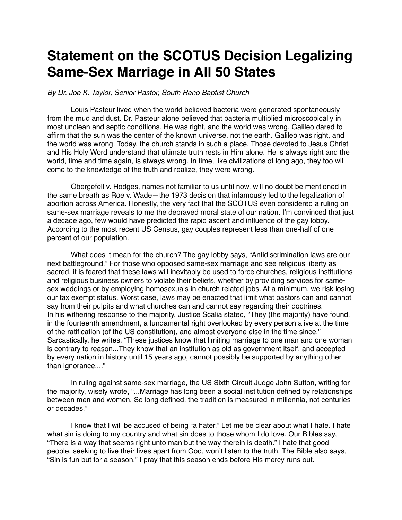## **Statement on the SCOTUS Decision Legalizing Same-Sex Marriage in All 50 States**

*By Dr. Joe K. Taylor, Senior Pastor, South Reno Baptist Church*

Louis Pasteur lived when the world believed bacteria were generated spontaneously from the mud and dust. Dr. Pasteur alone believed that bacteria multiplied microscopically in most unclean and septic conditions. He was right, and the world was wrong. Galileo dared to affirm that the sun was the center of the known universe, not the earth. Galileo was right, and the world was wrong. Today, the church stands in such a place. Those devoted to Jesus Christ and His Holy Word understand that ultimate truth rests in Him alone. He is always right and the world, time and time again, is always wrong. In time, like civilizations of long ago, they too will come to the knowledge of the truth and realize, they were wrong.

Obergefell v. Hodges, names not familiar to us until now, will no doubt be mentioned in the same breath as Roe v. Wade—the 1973 decision that infamously led to the legalization of abortion across America. Honestly, the very fact that the SCOTUS even considered a ruling on same-sex marriage reveals to me the depraved moral state of our nation. I'm convinced that just a decade ago, few would have predicted the rapid ascent and influence of the gay lobby. According to the most recent US Census, gay couples represent less than one-half of one percent of our population.

What does it mean for the church? The gay lobby says, "Antidiscrimination laws are our next battleground." For those who opposed same-sex marriage and see religious liberty as sacred, it is feared that these laws will inevitably be used to force churches, religious institutions and religious business owners to violate their beliefs, whether by providing services for samesex weddings or by employing homosexuals in church related jobs. At a minimum, we risk losing our tax exempt status. Worst case, laws may be enacted that limit what pastors can and cannot say from their pulpits and what churches can and cannot say regarding their doctrines. In his withering response to the majority, Justice Scalia stated, "They (the majority) have found, in the fourteenth amendment, a fundamental right overlooked by every person alive at the time of the ratification (of the US constitution), and almost everyone else in the time since." Sarcastically, he writes, "These justices know that limiting marriage to one man and one woman is contrary to reason...They know that an institution as old as government itself, and accepted by every nation in history until 15 years ago, cannot possibly be supported by anything other than ignorance...."

In ruling against same-sex marriage, the US Sixth Circuit Judge John Sutton, writing for the majority, wisely wrote, "...Marriage has long been a social institution defined by relationships between men and women. So long defined, the tradition is measured in millennia, not centuries or decades."

I know that I will be accused of being "a hater." Let me be clear about what I hate. I hate what sin is doing to my country and what sin does to those whom I do love. Our Bibles say, "There is a way that seems right unto man but the way therein is death." I hate that good people, seeking to live their lives apart from God, won't listen to the truth. The Bible also says, "Sin is fun but for a season." I pray that this season ends before His mercy runs out.